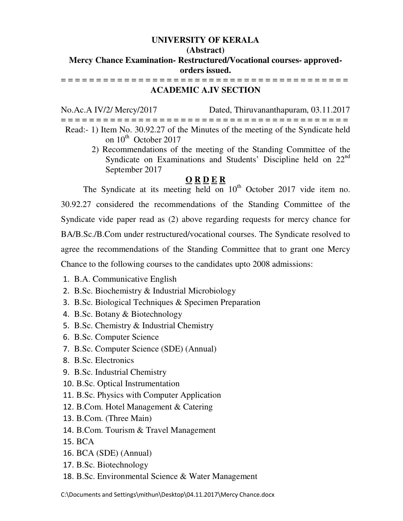## **UNIVERSITY OF KERALA**

#### **(Abstract)**

# **Mercy Chance Examination- Restructured/Vocational courses- approvedorders issued.**

= = = = = = = = = = = = = = = = = = = = = = = = = = = = = = = = = = = = = = = = = **ACADEMIC A.IV SECTION** 

No.Ac.A IV/2/ Mercy/2017 Dated, Thiruvananthapuram, 03.11.2017 = = = = = = = = = = = = = = = = = = = = = = = = = = = = = = = = = = = = = = = = = Read:- 1) Item No. 30.92.27 of the Minutes of the meeting of the Syndicate held on  $10^{th}$  October 2017

> 2) Recommendations of the meeting of the Standing Committee of the Syndicate on Examinations and Students' Discipline held on 22<sup>nd</sup> September 2017

# **O R D E R**

The Syndicate at its meeting held on  $10^{th}$  October 2017 vide item no. 30.92.27 considered the recommendations of the Standing Committee of the Syndicate vide paper read as (2) above regarding requests for mercy chance for BA/B.Sc./B.Com under restructured/vocational courses. The Syndicate resolved to agree the recommendations of the Standing Committee that to grant one Mercy Chance to the following courses to the candidates upto 2008 admissions:

- 1. B.A. Communicative English
- 2. B.Sc. Biochemistry & Industrial Microbiology
- 3. B.Sc. Biological Techniques & Specimen Preparation
- 4. B.Sc. Botany & Biotechnology
- 5. B.Sc. Chemistry & Industrial Chemistry
- 6. B.Sc. Computer Science
- 7. B.Sc. Computer Science (SDE) (Annual)
- 8. B.Sc. Electronics
- 9. B.Sc. Industrial Chemistry
- 10. B.Sc. Optical Instrumentation
- 11. B.Sc. Physics with Computer Application
- 12. B.Com. Hotel Management & Catering
- 13. B.Com. (Three Main)
- 14. B.Com. Tourism & Travel Management
- 15. BCA
- 16. BCA (SDE) (Annual)
- 17. B.Sc. Biotechnology
- 18. B.Sc. Environmental Science & Water Management